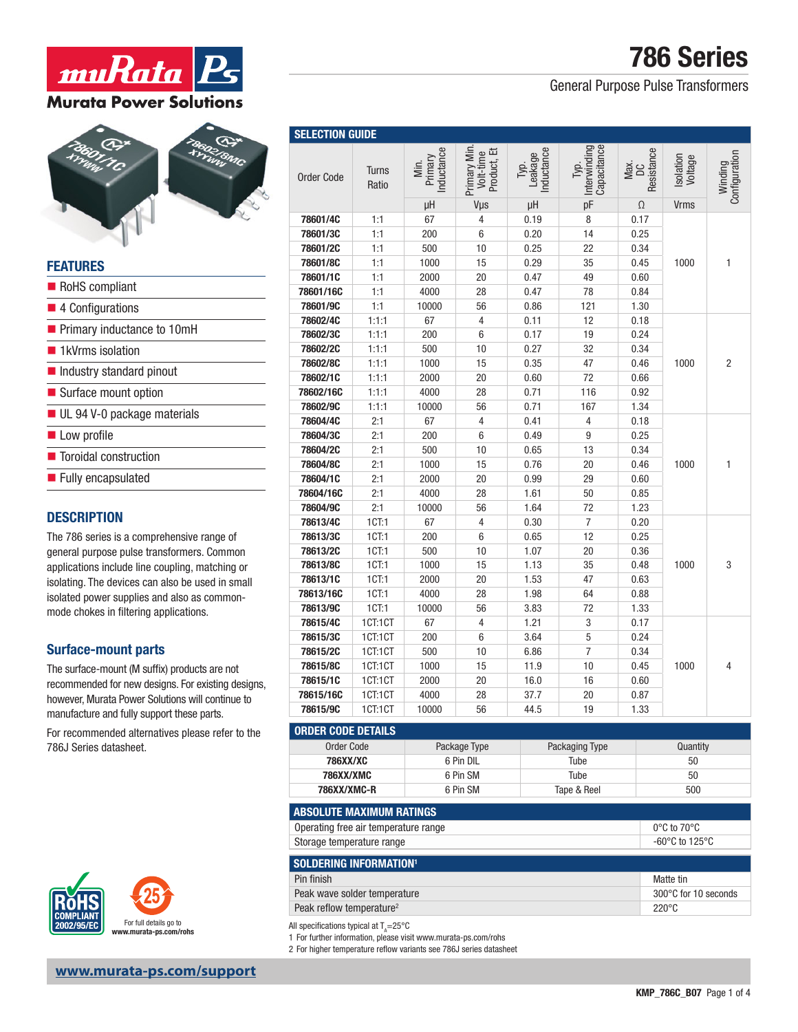# 786 Series

### General Purpose Pulse Transformers

| <b>Order Code</b> | <b>Turns</b><br>Ratio | nductance<br>Primary<br>Min. | Primary Min<br>Volt-time<br>Product, Et | nductance<br>Leakage<br>Tур. | Capacitance<br>Interwinding<br>Tур. | Resistance<br>Max.<br>DC | Isolation<br>Voltage | Configuration<br>Winding |
|-------------------|-----------------------|------------------------------|-----------------------------------------|------------------------------|-------------------------------------|--------------------------|----------------------|--------------------------|
|                   |                       | μH                           | Vus                                     | μH                           | pF                                  | Ω                        | <b>Vrms</b>          |                          |
| 78601/4C          | 1:1                   | 67                           | 4                                       | 0.19                         | 8                                   | 0.17                     |                      |                          |
| 78601/3C          | 1:1                   | 200                          | 6                                       | 0.20                         | 14                                  | 0.25                     |                      |                          |
| 78601/2C          | 1:1                   | 500                          | 10                                      | 0.25                         | 22                                  | 0.34                     |                      |                          |
| 78601/8C          | 1:1                   | 1000                         | 15                                      | 0.29                         | 35                                  | 0.45                     | 1000                 | 1                        |
| 78601/1C          | 1:1                   | 2000                         | 20                                      | 0.47                         | 49                                  | 0.60                     |                      |                          |
| 78601/16C         | 1:1                   | 4000                         | 28                                      | 0.47                         | 78                                  | 0.84                     |                      |                          |
| 78601/9C          | 1:1                   | 10000                        | 56                                      | 0.86                         | 121                                 | 1.30                     |                      |                          |
| 78602/4C          | 1:1:1                 | 67                           | $\overline{4}$                          | 0.11                         | 12                                  | 0.18                     |                      | 2                        |
| 78602/3C          | 1:1:1                 | 200                          | 6                                       | 0.17                         | 19                                  | 0.24                     | 1000                 |                          |
| 78602/2C          | 1:1:1                 | 500                          | 10                                      | 0.27                         | 32                                  | 0.34                     |                      |                          |
| 78602/8C          | 1:1:1                 | 1000                         | 15                                      | 0.35                         | 47                                  | 0.46                     |                      |                          |
| 78602/1C          | 1:1:1                 | 2000                         | 20                                      | 0.60                         | 72                                  | 0.66                     |                      |                          |
| 78602/16C         | 1:1:1                 | 4000                         | 28                                      | 0.71                         | 116                                 | 0.92                     |                      |                          |
| 78602/9C          | 1:1:1                 | 10000                        | 56                                      | 0.71                         | 167                                 | 1.34                     |                      |                          |
| 78604/4C          | 2:1                   | 67                           | 4                                       | 0.41                         | 4                                   | 0.18                     |                      | 1                        |
| 78604/3C          | 2:1                   | 200                          | 6                                       | 0.49                         | $\boldsymbol{9}$                    | 0.25                     |                      |                          |
| 78604/2C          | 2:1                   | 500                          | 10                                      | 0.65                         | 13                                  | 0.34                     |                      |                          |
| 78604/8C          | 2:1                   | 1000                         | 15                                      | 0.76                         | 20                                  | 0.46                     | 1000                 |                          |
| 78604/1C          | 2:1                   | 2000                         | 20                                      | 0.99                         | 29                                  | 0.60                     |                      |                          |
| 78604/16C         | 2:1                   | 4000                         | 28                                      | 1.61                         | 50                                  | 0.85                     |                      |                          |
| 78604/9C          | 2:1                   | 10000                        | 56                                      | 1.64                         | 72                                  | 1.23                     |                      |                          |
| 78613/4C          | 1CT:1                 | 67                           | 4                                       | 0.30                         | $\overline{7}$                      | 0.20                     |                      |                          |
| 78613/3C          | 1CT:1                 | 200                          | 6                                       | 0.65                         | 12                                  | 0.25                     |                      |                          |
| 78613/2C          | 1CT:1                 | 500                          | 10                                      | 1.07                         | 20                                  | 0.36                     |                      |                          |
| 78613/8C          | 1CT:1                 | 1000                         | 15                                      | 1.13                         | 35                                  | 0.48                     | 1000                 | 3                        |
| 78613/1C          | 1CT:1                 | 2000                         | 20                                      | 1.53                         | 47                                  | 0.63                     |                      |                          |
| 78613/16C         | 1CT:1                 | 4000                         | 28                                      | 1.98                         | 64                                  | 0.88                     |                      |                          |
| 78613/9C          | 1CT:1                 | 10000                        | 56                                      | 3.83                         | 72                                  | 1.33                     |                      |                          |
| 78615/4C          | 1CT:1CT               | 67                           | 4                                       | 1.21                         | $\sqrt{3}$                          | 0.17                     |                      |                          |
| 78615/3C          | 1CT:1CT               | 200                          | 6                                       | 3.64                         | 5                                   | 0.24                     |                      |                          |
| 78615/2C          | 1CT:1CT               | 500                          | 10                                      | 6.86                         | $\overline{7}$                      | 0.34                     |                      |                          |
| 78615/8C          | 1CT:1CT               | 1000                         | 15                                      | 11.9                         | 10                                  | 0.45                     | 1000                 | 4                        |
| 78615/1C          | 1CT:1CT               | 2000                         | 20                                      | 16.0                         | 16                                  | 0.60                     |                      |                          |
| 78615/16C         | 1CT:1CT               | 4000                         | 28                                      | 37.7                         | 20                                  | 0.87                     |                      |                          |
| 78615/9C          | 1CT:1CT               | 10000                        | 56                                      | 44.5                         | 19                                  | 1.33                     |                      |                          |

| <b>ORDER CODE DETAILS</b> |              |                |          |
|---------------------------|--------------|----------------|----------|
| Order Code                | Package Type | Packaging Type | Quantity |
| 786XX/XC                  | 6 Pin DIL    | Tube           | 50       |
| <b>786XX/XMC</b>          | 6 Pin SM     | Tube           | 50       |
| 786XX/XMC-R               | 6 Pin SM     | Tape & Reel    | 500      |

| <b>ABSOLUTE MAXIMUM RATINGS</b>      |                       |
|--------------------------------------|-----------------------|
| Operating free air temperature range | $0^{\circ}$ C to 70°C |
| Storage temperature range            | -60°C to 125°C        |

| SOLDERING INFORMATION <sup>1</sup>   |                      |
|--------------------------------------|----------------------|
| Pin finish                           | Matte tin            |
| Peak wave solder temperature         | 300°C for 10 seconds |
| Peak reflow temperature <sup>2</sup> | $220^{\circ}$ C      |

All specifications typical at  $\mathsf{T}_{\mathsf{A}}\!\!=\!\!25^\circ\mathsf{C}$ 

1 For further information, please visit www.murata-ps.com/rohs

2 For higher temperature reflow variants see 786J series datasheet



**muRata** *P* 

**Murata Power Solutions** 

|                                                    | Order Code           | lurns<br>Ratio     | Mi<br>Prind<br>Induct | Primary<br>Volt-t<br>Produ | 과 Tast<br>Teak<br>고향 | 运<br>Intervi<br>Capaci | Ma<br>DK<br>Resist |  |
|----------------------------------------------------|----------------------|--------------------|-----------------------|----------------------------|----------------------|------------------------|--------------------|--|
|                                                    |                      |                    | μH                    | Vus                        | μH                   | pF                     | Ω                  |  |
|                                                    | 78601/4C             | 1:1                | 67                    | 4                          | 0.19                 | 8                      | 0.17               |  |
|                                                    | 78601/3C             | 1:1                | 200                   | 6                          | 0.20                 | 14                     | 0.25               |  |
|                                                    | 78601/2C             | 1:1                | 500                   | 10                         | 0.25                 | 22                     | 0.34               |  |
| <b>FEATURES</b>                                    | 78601/8C             | 1:1                | 1000                  | 15                         | 0.29                 | 35                     | 0.45               |  |
| RoHS compliant                                     | 78601/1C             | 1:1                | 2000                  | 20                         | 0.47                 | 49                     | 0.60               |  |
|                                                    | 78601/16C            | 1:1                | 4000                  | 28                         | 0.47                 | 78                     | 0.84               |  |
| 4 Configurations                                   | 78601/9C             | 1:1                | 10000                 | 56                         | 0.86                 | 121                    | 1.30               |  |
| Primary inductance to 10mH                         | 78602/4C             | 1:1:1              | 67                    | 4                          | 0.11                 | 12                     | 0.18               |  |
|                                                    | 78602/3C<br>78602/2C | 1:1:1              | 200                   | 6                          | 0.17                 | 19                     | 0.24               |  |
| ■ 1kVrms isolation                                 | 78602/8C             | 1:1:1<br>1:1:1     | 500<br>1000           | 10<br>15                   | 0.27<br>0.35         | 32<br>47               | 0.34<br>0.46       |  |
| Industry standard pinout                           | 78602/1C             | 1:1:1              | 2000                  | 20                         | 0.60                 | 72                     | 0.66               |  |
| Surface mount option                               | 78602/16C            | 1:1:1              | 4000                  | 28                         | 0.71                 | 116                    | 0.92               |  |
|                                                    | 78602/9C             | 1:1:1              | 10000                 | 56                         | 0.71                 | 167                    | 1.34               |  |
| UL 94 V-0 package materials                        | 78604/4C             | 2:1                | 67                    | 4                          | 0.41                 | 4                      | 0.18               |  |
| Low profile                                        | 78604/3C             | 2:1                | 200                   | 6                          | 0.49                 | 9                      | 0.25               |  |
| ■ Toroidal construction                            | 78604/2C             | 2:1                | 500                   | 10                         | 0.65                 | 13                     | 0.34               |  |
|                                                    | 78604/8C             | 2:1                | 1000                  | 15                         | 0.76                 | 20                     | 0.46               |  |
| Fully encapsulated                                 | 78604/1C             | 2:1                | 2000                  | 20                         | 0.99                 | 29                     | 0.60               |  |
|                                                    | 78604/16C            | 2:1                | 4000                  | 28                         | 1.61                 | 50                     | 0.85               |  |
|                                                    | 78604/9C             | 2:1                | 10000                 | 56                         | 1.64                 | 72                     | 1.23               |  |
| <b>DESCRIPTION</b>                                 | 78613/4C             | 1CT:1              | 67                    | $\overline{4}$             | 0.30                 | $\overline{7}$         | 0.20               |  |
| The 786 series is a comprehensive range of         | 78613/3C             | 1CT:1              | 200                   | 6                          | 0.65                 | 12                     | 0.25               |  |
| general purpose pulse transformers. Common         | 78613/2C             | 1CT:1              | 500                   | 10                         | 1.07                 | 20                     | 0.36               |  |
| applications include line coupling, matching or    | 78613/8C             | 1CT:1              | 1000                  | 15                         | 1.13                 | 35                     | 0.48               |  |
| isolating. The devices can also be used in small   | 78613/1C             | 1CT:1              | 2000                  | 20                         | 1.53                 | 47                     | 0.63               |  |
| isolated power supplies and also as common-        | 78613/16C            | 1CT:1              | 4000                  | 28                         | 1.98                 | 64                     | 0.88               |  |
| mode chokes in filtering applications.             | 78613/9C             | 1CT:1              | 10000                 | 56                         | 3.83                 | 72                     | 1.33               |  |
|                                                    | 78615/4C             | 1CT:1CT            | 67                    | 4                          | 1.21                 | 3                      | 0.17               |  |
| <b>Surface-mount parts</b>                         | 78615/3C             | 1CT:1CT            | 200                   | 6                          | 3.64                 | 5                      | 0.24               |  |
|                                                    | 78615/2C             | 1CT:1CT            | 500                   | 10                         | 6.86                 | $\overline{7}$         | 0.34               |  |
| The surface-mount (M suffix) products are not      | 78615/8C<br>78615/1C | 1CT:1CT<br>1CT:1CT | 1000<br>2000          | 15<br>20                   | 11.9<br>16.0         | 10<br>16               | 0.45<br>0.60       |  |
| recommended for new designs. For existing designs, |                      |                    |                       |                            |                      |                        |                    |  |

recommended for new designs. For existin however, Murata Power Solutions will continue to manufacture and fully support these parts.

For recommended alternatives please refer to the 786J Series datasheet.

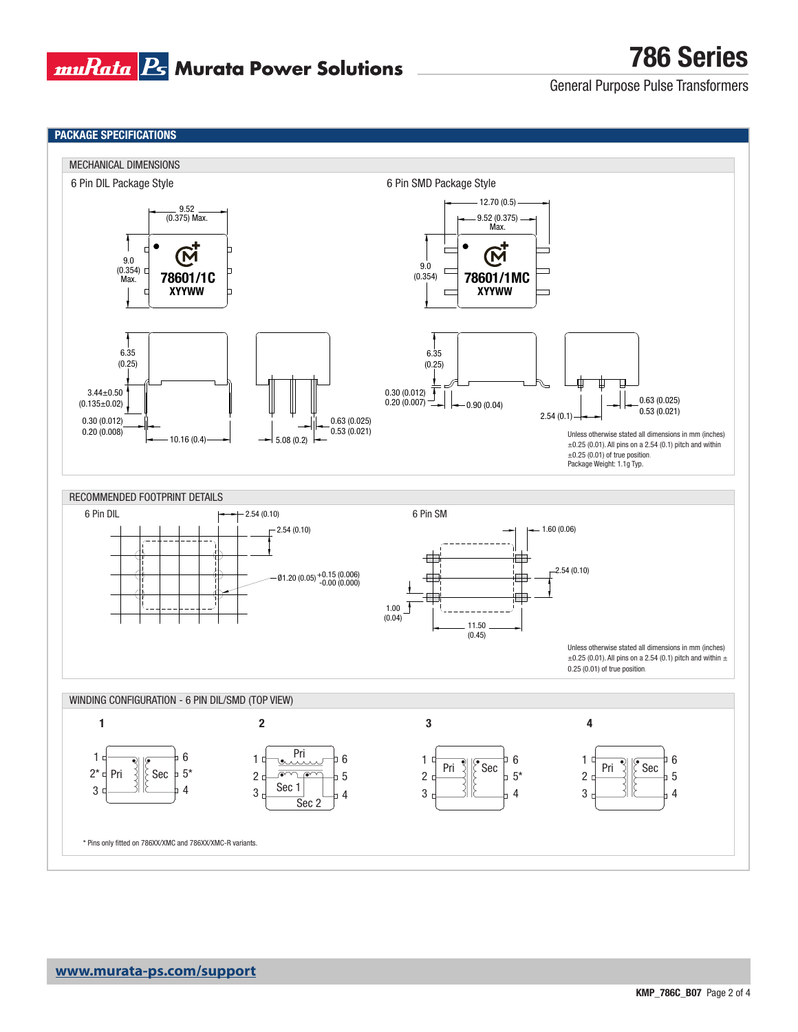

General Purpose Pulse Transformers

786 Series

### PACKAGE SPECIFICATIONS

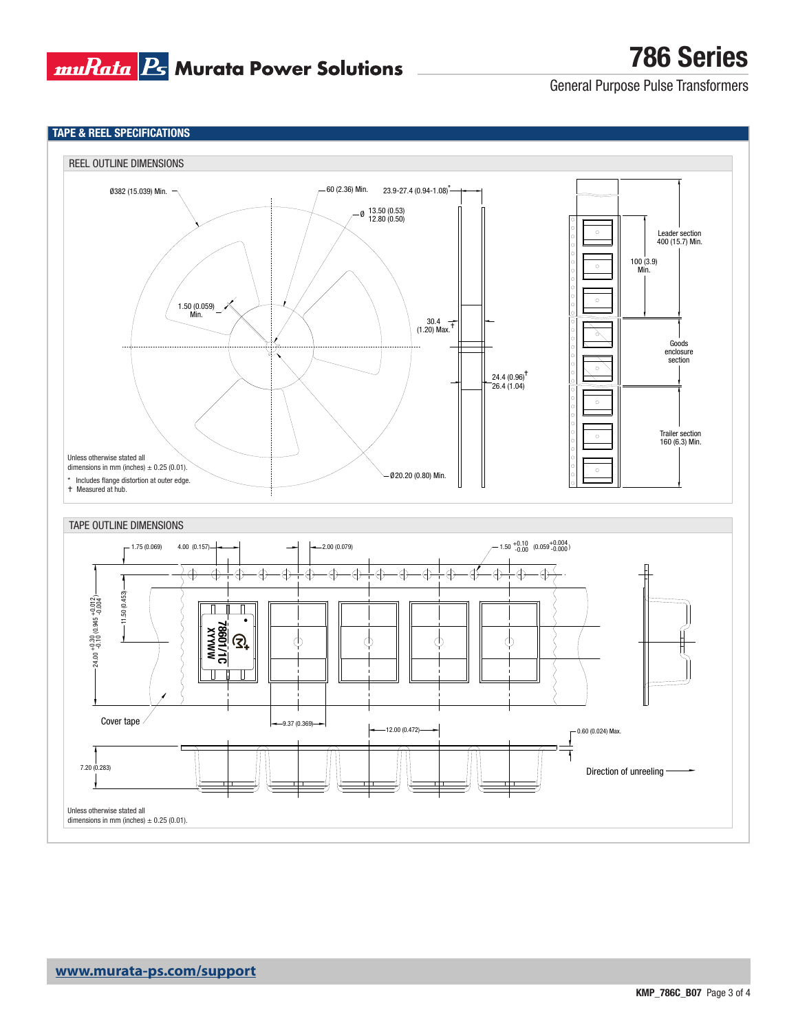

TAPE & REEL SPECIFICATIONS

786 Series

General Purpose Pulse Transformers

#### REEL OUTLINE DIMENSIONS 60 (2.36) Min. Ø382 (15.039) Min. 23.9-27.4 (0.94-1.08) \* 13.50 (0.53) 12.80 (0.50) Ø  $^\circ$ Leader section 400 (15.7) Min. |0  $\Bigg| \circ$  $\circ$ 100 (3.9) Min.  $\overline{\circ}$ 1.50 (0.059) Min. 30.4 (1.20) Max. Goods enclosure section  $\circ$ |o ţ, 24.4 (0.96) 26.4 (1.04)  $\circ$  $\circ$ Trailer section 160 (6.3) Min. Unless otherwise stated all dimensions in mm (inches)  $\pm$  0.25 (0.01).  $\circ$ \* Includes flange distortion at outer edge. 20.20 (0.80) Min. Ø Measured at hub. TAPE OUTLINE DIMENSIONS  $-1.75(0.069)$  $4.00 (0.157)$   $\rightarrow$   $\rightarrow$   $\rightarrow$   $\rightarrow$   $\rightarrow$   $\rightarrow$  2.00 (0.079)  $1.50 \begin{array}{cc} +0.10 & (0.059 \begin{array}{c} +0.004 \\ -0.00 & \end{array}) \end{array}$  $\overline{\oplus}$  $\bigoplus$  $\bigoplus$  $\oplus$  $\oplus$  $\bigoplus$  $\bigoplus$  $\bigoplus$ ∯  $\overline{\Theta}$  $\overline{\oplus}$  $\bigoplus$  $\oplus$  $\oplus$  $\bigoplus$ ¢  $-11.50(0.453)$ 11.50 (0.453)  $24.00 + 0.30 (0.945 + 0.012)$  $24.00 +0.30 (0.945 +0.012)$ ٠ **MWAXX**<br>31/1098/  $\mathfrak{D}^+$  $\varphi$ </u> Cover tape  $-9.37(0.369)$ 12.00 (0.472) 0.60 (0.024) Max. 7.20 (0.283) Direction of unreeling -Unless otherwise stated all dimensions in mm (inches)  $\pm$  0.25 (0.01).